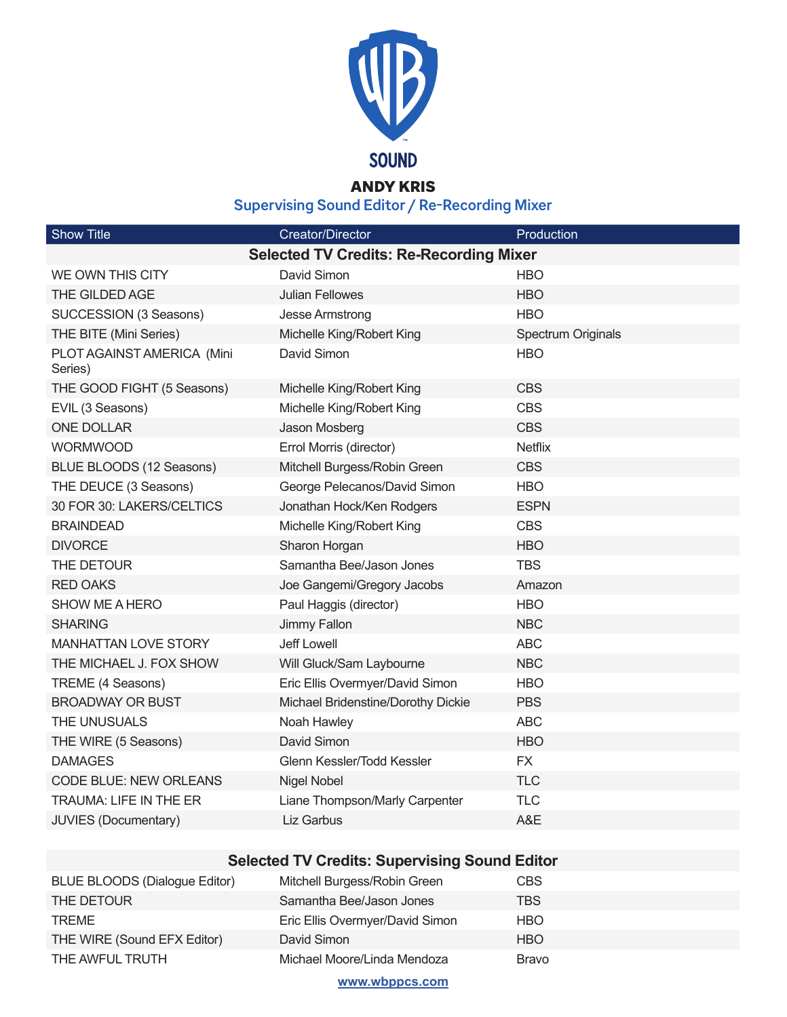

## ANDY KRIS

**Supervising Sound Editor / Re-Recording Mixer**

| <b>Show Title</b>                              | <b>Creator/Director</b>            | Production         |  |  |
|------------------------------------------------|------------------------------------|--------------------|--|--|
| <b>Selected TV Credits: Re-Recording Mixer</b> |                                    |                    |  |  |
| WE OWN THIS CITY                               | David Simon                        | <b>HBO</b>         |  |  |
| THE GILDED AGE                                 | <b>Julian Fellowes</b>             | <b>HBO</b>         |  |  |
| SUCCESSION (3 Seasons)                         | Jesse Armstrong                    | <b>HBO</b>         |  |  |
| THE BITE (Mini Series)                         | Michelle King/Robert King          | Spectrum Originals |  |  |
| PLOT AGAINST AMERICA (Mini<br>Series)          | David Simon                        | <b>HBO</b>         |  |  |
| THE GOOD FIGHT (5 Seasons)                     | Michelle King/Robert King          | <b>CBS</b>         |  |  |
| EVIL (3 Seasons)                               | Michelle King/Robert King          | <b>CBS</b>         |  |  |
| <b>ONE DOLLAR</b>                              | Jason Mosberg                      | <b>CBS</b>         |  |  |
| <b>WORMWOOD</b>                                | Errol Morris (director)            | <b>Netflix</b>     |  |  |
| BLUE BLOODS (12 Seasons)                       | Mitchell Burgess/Robin Green       | <b>CBS</b>         |  |  |
| THE DEUCE (3 Seasons)                          | George Pelecanos/David Simon       | <b>HBO</b>         |  |  |
| 30 FOR 30: LAKERS/CELTICS                      | Jonathan Hock/Ken Rodgers          | <b>ESPN</b>        |  |  |
| <b>BRAINDEAD</b>                               | Michelle King/Robert King          | <b>CBS</b>         |  |  |
| <b>DIVORCE</b>                                 | Sharon Horgan                      | <b>HBO</b>         |  |  |
| THE DETOUR                                     | Samantha Bee/Jason Jones           | <b>TBS</b>         |  |  |
| <b>RED OAKS</b>                                | Joe Gangemi/Gregory Jacobs         | Amazon             |  |  |
| <b>SHOW ME A HERO</b>                          | Paul Haggis (director)             | <b>HBO</b>         |  |  |
| <b>SHARING</b>                                 | Jimmy Fallon                       | <b>NBC</b>         |  |  |
| <b>MANHATTAN LOVE STORY</b>                    | <b>Jeff Lowell</b>                 | <b>ABC</b>         |  |  |
| THE MICHAEL J. FOX SHOW                        | Will Gluck/Sam Laybourne           | <b>NBC</b>         |  |  |
| TREME (4 Seasons)                              | Eric Ellis Overmyer/David Simon    | <b>HBO</b>         |  |  |
| <b>BROADWAY OR BUST</b>                        | Michael Bridenstine/Dorothy Dickie | <b>PBS</b>         |  |  |
| THE UNUSUALS                                   | Noah Hawley                        | <b>ABC</b>         |  |  |
| THE WIRE (5 Seasons)                           | David Simon                        | <b>HBO</b>         |  |  |
| <b>DAMAGES</b>                                 | Glenn Kessler/Todd Kessler         | <b>FX</b>          |  |  |
| CODE BLUE: NEW ORLEANS                         | Nigel Nobel                        | <b>TLC</b>         |  |  |
| TRAUMA: LIFE IN THE ER                         | Liane Thompson/Marly Carpenter     | <b>TLC</b>         |  |  |
| <b>JUVIES (Documentary)</b>                    | <b>Liz Garbus</b>                  | A&E                |  |  |

## **Selected TV Credits: Supervising Sound Editor**

| BLUE BLOODS (Dialogue Editor) | Mitchell Burgess/Robin Green    | <b>CBS</b> |
|-------------------------------|---------------------------------|------------|
| THE DETOUR                    | Samantha Bee/Jason Jones        | TBS        |
| <b>TREME</b>                  | Eric Ellis Overmyer/David Simon | <b>HBO</b> |
| THE WIRE (Sound EFX Editor)   | David Simon                     | <b>HBO</b> |
| THE AWFUL TRUTH               | Michael Moore/Linda Mendoza     | Bravo      |

**www.wbppcs.com**